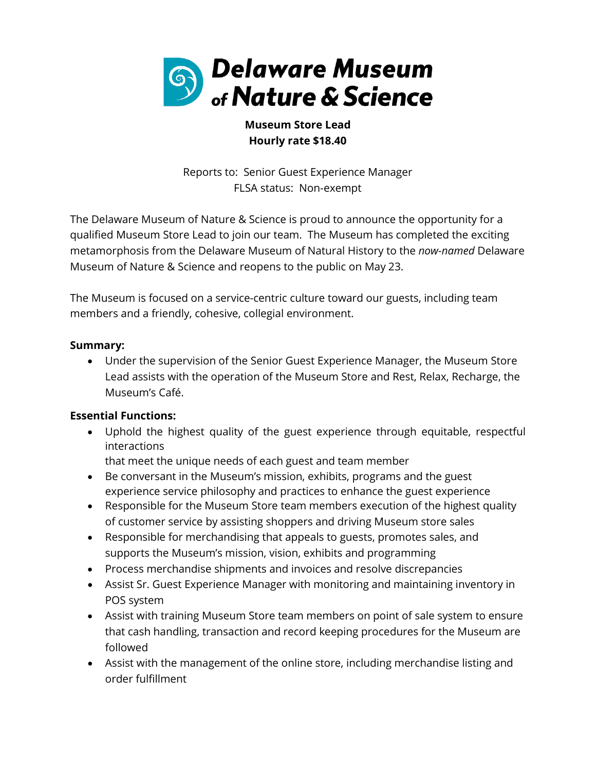

# **Museum Store Lead Hourly rate \$18.40**

Reports to: Senior Guest Experience Manager FLSA status: Non-exempt

The Delaware Museum of Nature & Science is proud to announce the opportunity for a qualified Museum Store Lead to join our team. The Museum has completed the exciting metamorphosis from the Delaware Museum of Natural History to the *now-named* Delaware Museum of Nature & Science and reopens to the public on May 23.

The Museum is focused on a service-centric culture toward our guests, including team members and a friendly, cohesive, collegial environment.

## **Summary:**

• Under the supervision of the Senior Guest Experience Manager, the Museum Store Lead assists with the operation of the Museum Store and Rest, Relax, Recharge, the Museum's Café.

### **Essential Functions:**

• Uphold the highest quality of the guest experience through equitable, respectful interactions

that meet the unique needs of each guest and team member

- Be conversant in the Museum's mission, exhibits, programs and the guest experience service philosophy and practices to enhance the guest experience
- Responsible for the Museum Store team members execution of the highest quality of customer service by assisting shoppers and driving Museum store sales
- Responsible for merchandising that appeals to guests, promotes sales, and supports the Museum's mission, vision, exhibits and programming
- Process merchandise shipments and invoices and resolve discrepancies
- Assist Sr. Guest Experience Manager with monitoring and maintaining inventory in POS system
- Assist with training Museum Store team members on point of sale system to ensure that cash handling, transaction and record keeping procedures for the Museum are followed
- Assist with the management of the online store, including merchandise listing and order fulfillment